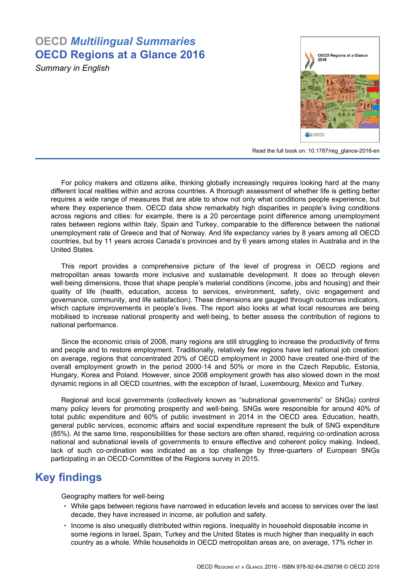# **OECD** *Multilingual Summaries* **OECD Regions at a Glance 2016**

*Summary in English*



Read the full book on: [10.1787/reg\\_glance-2016-en](http://dx.doi.org/10.1787/reg_glance-2016-en)

For policy makers and citizens alike, thinking globally increasingly requires looking hard at the many different local realities within and across countries. A thorough assessment of whether life is getting better requires a wide range of measures that are able to show not only what conditions people experience, but where they experience them. OECD data show remarkably high disparities in people's living conditions across regions and cities: for example, there is a 20 percentage point difference among unemployment rates between regions within Italy, Spain and Turkey, comparable to the difference between the national unemployment rate of Greece and that of Norway. And life expectancy varies by 8 years among all OECD countries, but by 11 years across Canada's provinces and by 6 years among states in Australia and in the United States.

This report provides a comprehensive picture of the level of progress in OECD regions and metropolitan areas towards more inclusive and sustainable development. It does so through eleven well-being dimensions, those that shape people's material conditions (income, jobs and housing) and their quality of life (health, education, access to services, environment, safety, civic engagement and governance, community, and life satisfaction). These dimensions are gauged through outcomes indicators, which capture improvements in people's lives. The report also looks at what local resources are being mobilised to increase national prosperity and well-being, to better assess the contribution of regions to national performance.

Since the economic crisis of 2008, many regions are still struggling to increase the productivity of firms and people and to restore employment. Traditionally, relatively few regions have led national job creation: on average, regions that concentrated 20% of OECD employment in 2000 have created one‑third of the overall employment growth in the period 2000‑14 and 50% or more in the Czech Republic, Estonia, Hungary, Korea and Poland. However, since 2008 employment growth has also slowed down in the most dynamic regions in all OECD countries, with the exception of Israel, Luxembourg, Mexico and Turkey.

Regional and local governments (collectively known as "subnational governments" or SNGs) control many policy levers for promoting prosperity and well‑being. SNGs were responsible for around 40% of total public expenditure and 60% of public investment in 2014 in the OECD area. Education, health, general public services, economic affairs and social expenditure represent the bulk of SNG expenditure (85%). At the same time, responsibilities for these sectors are often shared, requiring co‑ordination across national and subnational levels of governments to ensure effective and coherent policy making. Indeed, lack of such co-ordination was indicated as a top challenge by three-quarters of European SNGs participating in an OECD‑Committee of the Regions survey in 2015.

## **Key findings**

Geography matters for well‑being

- While gaps between regions have narrowed in education levels and access to services over the last decade, they have increased in income, air pollution and safety.
- Income is also unequally distributed within regions. Inequality in household disposable income in some regions in Israel, Spain, Turkey and the United States is much higher than inequality in each country as a whole. While households in OECD metropolitan areas are, on average, 17% richer in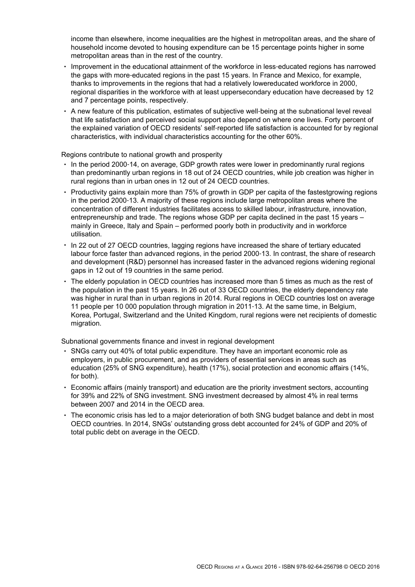income than elsewhere, income inequalities are the highest in metropolitan areas, and the share of household income devoted to housing expenditure can be 15 percentage points higher in some metropolitan areas than in the rest of the country.

- Improvement in the educational attainment of the workforce in less-educated regions has narrowed the gaps with more-educated regions in the past 15 years. In France and Mexico, for example, thanks to improvements in the regions that had a relatively lowereducated workforce in 2000, regional disparities in the workforce with at least uppersecondary education have decreased by 12 and 7 percentage points, respectively.
- A new feature of this publication, estimates of subiective well-being at the subnational level reveal that life satisfaction and perceived social support also depend on where one lives. Forty percent of the explained variation of OECD residents' self-reported life satisfaction is accounted for by regional characteristics, with individual characteristics accounting for the other 60%.

Regions contribute to national growth and prosperity

- In the period 2000‑14, on average, GDP growth rates were lower in predominantly rural regions than predominantly urban regions in 18 out of 24 OECD countries, while job creation was higher in rural regions than in urban ones in 12 out of 24 OECD countries.
- Productivity gains explain more than 75% of growth in GDP per capita of the fastestgrowing regions in the period 2000-13. A majority of these regions include large metropolitan areas where the concentration of different industries facilitates access to skilled labour, infrastructure, innovation, entrepreneurship and trade. The regions whose GDP per capita declined in the past 15 years – mainly in Greece, Italy and Spain – performed poorly both in productivity and in workforce utilisation.
- In 22 out of 27 OECD countries, lagging regions have increased the share of tertiary educated labour force faster than advanced regions, in the period 2000‑13. In contrast, the share of research and development (R&D) personnel has increased faster in the advanced regions widening regional gaps in 12 out of 19 countries in the same period.
- The elderly population in OECD countries has increased more than 5 times as much as the rest of the population in the past 15 years. In 26 out of 33 OECD countries, the elderly dependency rate was higher in rural than in urban regions in 2014. Rural regions in OECD countries lost on average 11 people per 10 000 population through migration in 2011‑13. At the same time, in Belgium, Korea, Portugal, Switzerland and the United Kingdom, rural regions were net recipients of domestic migration.

Subnational governments finance and invest in regional development

- SNGs carry out 40% of total public expenditure. They have an important economic role as employers, in public procurement, and as providers of essential services in areas such as education (25% of SNG expenditure), health (17%), social protection and economic affairs (14%, for both).
- Economic affairs (mainly transport) and education are the priority investment sectors, accounting for 39% and 22% of SNG investment. SNG investment decreased by almost 4% in real terms between 2007 and 2014 in the OECD area.
- The economic crisis has led to a major deterioration of both SNG budget balance and debt in most OECD countries. In 2014, SNGs' outstanding gross debt accounted for 24% of GDP and 20% of total public debt on average in the OECD.